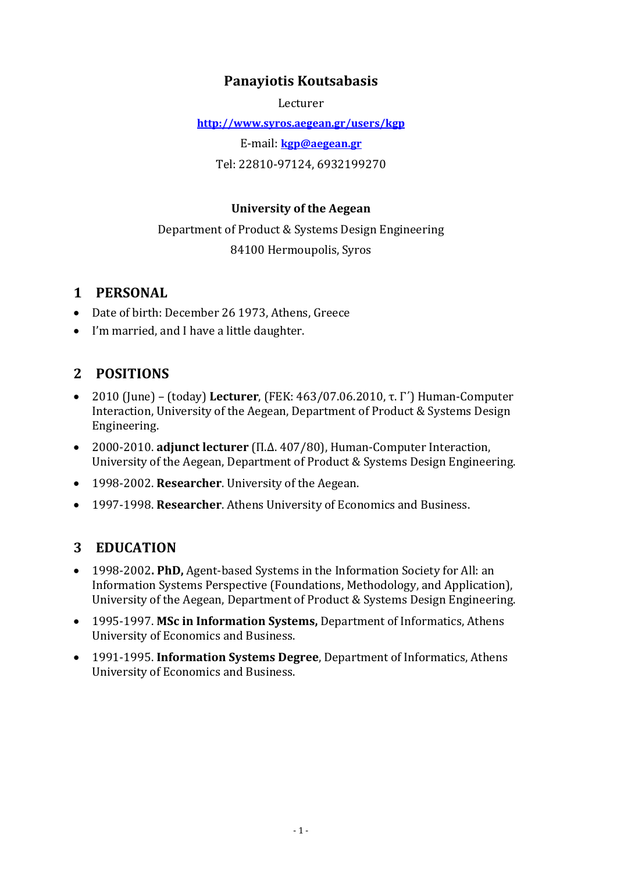# **Panayiotis Koutsabasis**

Lecturer

**http://www.syros.aegean.gr/users/kgp** 

E‐mail: **kgp@aegean.gr**

Tel: 22810‐97124, 6932199270

#### **University of the Aegean**

Department of Product & Systems Design Engineering 84100 Hermoupolis, Syros

# **1 PERSONAL**

- Date of birth: December 26 1973, Athens, Greece
- I'm married, and I have a little daughter.

# **2 POSITIONS**

- 2010 (June) (today) **Lecturer**, (FEK: 463/07.06.2010, τ. Γ΄) Human‐Computer Interaction, University of the Aegean, Department of Product & Systems Design Engineering.
- 2000‐2010. **adjunct lecturer** (Π.Δ. 407/80), Human‐Computer Interaction, University of the Aegean, Department of Product & Systems Design Engineering.
- 1998‐2002. **Researcher**. University of the Aegean.
- 1997‐1998. **Researcher**. Athens University of Economics and Business.

# **3 EDUCATION**

- 1998‐2002**. PhD,** Agent‐based Systems in the Information Society for All: an Information Systems Perspective (Foundations, Methodology, and Application), University of the Aegean, Department of Product & Systems Design Engineering.
- 1995‐1997. **MSc in Information Systems,** Department of Informatics, Athens University of Economics and Business.
- 1991‐1995. **Information Systems Degree**, Department of Informatics, Athens University of Economics and Business.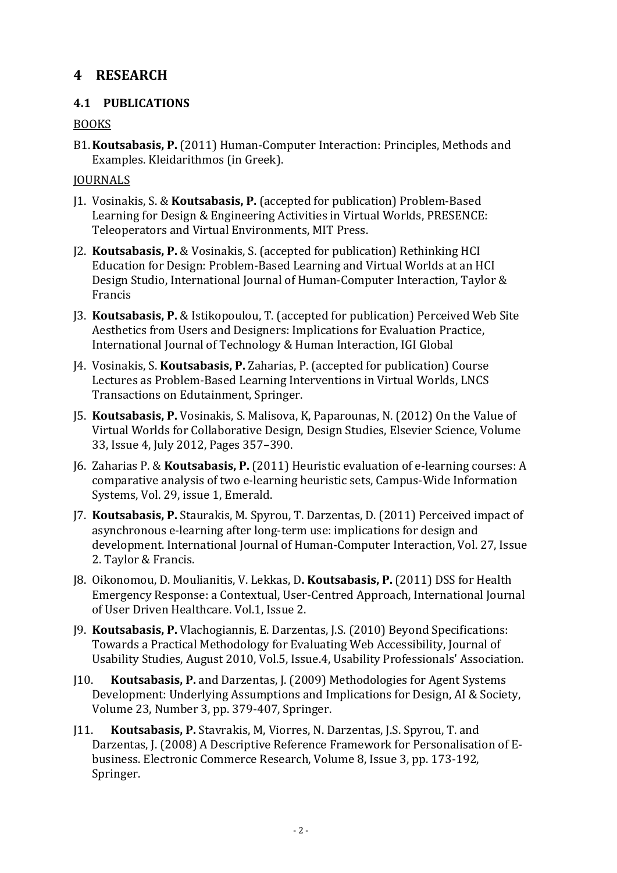# **4 RESEARCH**

## **4.1 PU BLICATIONS**

## **BOOKS**

B1.**Koutsabasis, P.** (2011) Human‐Computer Interaction: Principles, Methods and Examples. Kleidarithmos (in Greek).

#### **JOURNALS**

- J1. Vosinakis, S. & **Koutsabasis, P.** (accepted for publication) Problem‐Based Learning for Design & Engineering Activities in Virtual Worlds, PRESENCE: Teleoperators and Virtual Environments, MIT Press.
- J2. **Koutsabasis, P.** & Vosinakis, S. (accepted for publication) Rethinking HCI Education for Design: Problem‐Based Learning and Virtual Worlds at an HCI Design Studio, International Journal of Human‐Computer Interaction, Taylor & Francis
- J3. **Koutsabasis, P.** & Istikopoulou, T. (accepted for publication) Perceived Web Site Aesthetics from Users and Designers: Implications for Evaluation Practice, International Journal of Technology & Human Interaction, IGI Global
- J4. Vosinakis, S. **Koutsabasis, P.** Zaharias, P. (accepted for publication) Course Lectures as Problem‐Based Learning Interventions in Virtual Worlds, LNCS Transactions on Edutainment, Springer.
- J5. **Koutsabasis, P.** Vosinakis, S. Malisova, K, Paparounas, N. (2012) On the Value of Virtual Worlds for Collaborative Design, Design Studies, Elsevier Science, Volume 33, Issue 4, July 2012, Pages 357–390.
- J6. Zaharias P. & **Koutsabasis, P.** (2011) Heuristic evaluation of e‐learning courses: A comparative analysis of two e‐learning heuristic sets, Campus‐Wide Information Systems, Vol. 29, issue 1, Emerald.
- J7. **Koutsabasis, P.** Staurakis, M. Spyrou, T. Darzentas, D. (2011) Perceived impact of asynchronous e‐learning after long‐term use: implications for design and development. International Journal of Human‐Computer Interaction, Vol. 27, Issue 2. Taylor & Francis.
- J8. Oikonomou, D. Moulianitis, V. Lekkas, D**. Koutsabasis, P.** (2011) DSS for Health Emergency Response: a Contextual, User‐Centred Approach, International Journal of User Driven Healthcare. Vol.1, Issue 2.
- J9. **Koutsabasis, P.** Vlachogiannis, E. Darzentas, J.S. (2010) Beyond Specifications: Towards a Practical Methodology for Evaluating Web Accessibility, Journal of Usability Studies, August 2010, Vol.5, Issue.4, Usability Professionals' Association.
- J10. **Koutsabasis, P.** and Darzentas, J. (2009) Methodologies for Agent Systems Development: Underlying Assumptions and Implications for Design, AI & Society, Volume 23, Number 3, pp. 379‐407, Springer.
- J11. **Koutsabasis, P.** Stavrakis, M, Viorres, N. Darzentas, J.S. Spyrou, T. and Darzentas, J. (2008) A Descriptive Reference Framework for Personalisation of E‐ business. Electronic Commerce Research, Volume 8, Issue 3, pp. 173‐192, Springer.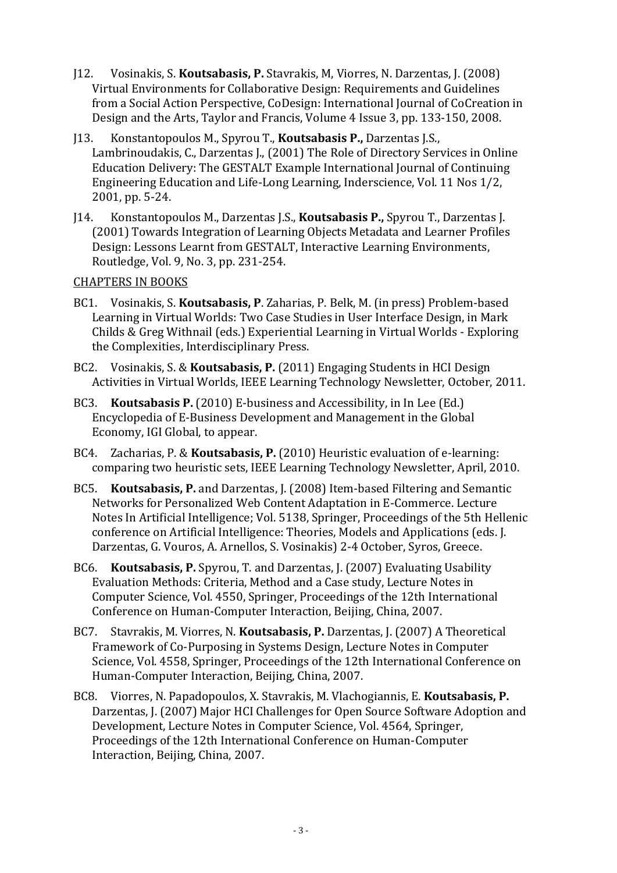- J12. Vosinakis, S. **Koutsabasis, P.** Stavrakis, M, Viorres, N. Darzentas, J. (2008) Virtual Environments for Collaborative Design: Requirements and Guidelines from a Social Action Perspective, CoDesign: International Journal of CoCreation in Design and the Arts, Taylor and Francis, Volume 4 Issue 3, pp. 133‐150, 2008.
- J13. Konstantopoulos M., Spyrou T., **Koutsabasis P.,** Darzentas J.S., Lambrinoudakis, C., Darzentas J., (2001) The Role of Directory Services in Online Education Delivery: The GESTALT Example International Journal of Continuing Engineering Education and Life‐Long Learning, Inderscience, Vol. 11 Nos 1/2, 2001, pp. 5-24.
- J14. Konstantopoulos M., Darzentas J.S., **Koutsabasis P.,** Spyrou T., Darzentas J. (2001) Towards Integration of Learning Objects Metadata and Learner Profiles Design: Lessons Learnt from GESTALT, Interactive Learning Environments, Routledge, Vol. 9, No. 3, pp. 231-254.

#### CHAPTERS IN BOOKS

- BC1. Vosinakis, S. **Koutsabasis, P**. Zaharias, P. Belk, M. (in press) Problem‐based Learning in Virtual Worlds: Two Case Studies in User Interface Design, in Mark Childs & Greg Withnail (eds.) Experiential Learning in Virtual Worlds ‐ Exploring the Complexities, Interdisciplinary Press.
- BC2. Vosinakis, S. & **Koutsabasis, P.** (2011) Engaging Students in HCI Design Activities in Virtual Worlds, IEEE Learning Technology Newsletter, October, 2011.
- BC3. **Koutsabasis P.** (2010) E‐business and Accessibility, in In Lee (Ed.) Encyclopedia of E‐Business Development and Management in the Global Economy, IGI Global, to appear.
- BC4. Zacharias, P. & **Koutsabasis, P.** (2010) Heuristic evaluation of e‐learning: comparing two heuristic sets, IEEE Learning Technology Newsletter, April, 2010.
- BC5. **Koutsabasis, P.** and Darzentas, J. (2008) Item‐based Filtering and Semantic Networks for Personalized Web Content Adaptation in E‐Commerce. Lecture Notes In Artificial Intelligence; Vol. 5138, Springer, Proceedings of the 5th Hellenic conference on Artificial Intelligence: Theories, Models and Applications (eds. J. Darzentas, G. Vouros, A. Arnellos, S. Vosinakis) 2‐4 October, Syros, Greece.
- BC6. **Koutsabasis, P.** Spyrou, T. and Darzentas, J. (2007) Evaluating Usability Evaluation Methods: Criteria, Method and a Case study, Lecture Notes in Computer Science, Vol. 4550, Springer, Proceedings of the 12th International Conference on Human‐Computer Interaction, Beijing, China, 2007.
- BC7. Stavrakis, M. Viorres, N. **Koutsabasis, P.** Darzentas, J. (2007) A Theoretical Framework of Co‐Purposing in Systems Design, Lecture Notes in Computer Science, Vol. 4558, Springer, Proceedings of the 12th International Conference on Human‐Computer Interaction, Beijing, China, 2007.
- BC8. Viorres, N. Papadopoulos, X. Stavrakis, M. Vlachogiannis, E. **Koutsabasis, P.** Darzentas, J. (2007) Major HCI Challenges for Open Source Software Adoption and Development, Lecture Notes in Computer Science, Vol. 4564, Springer, Proceedings of the 12th International Conference on Human‐Computer Interaction, Beijing, China, 2007.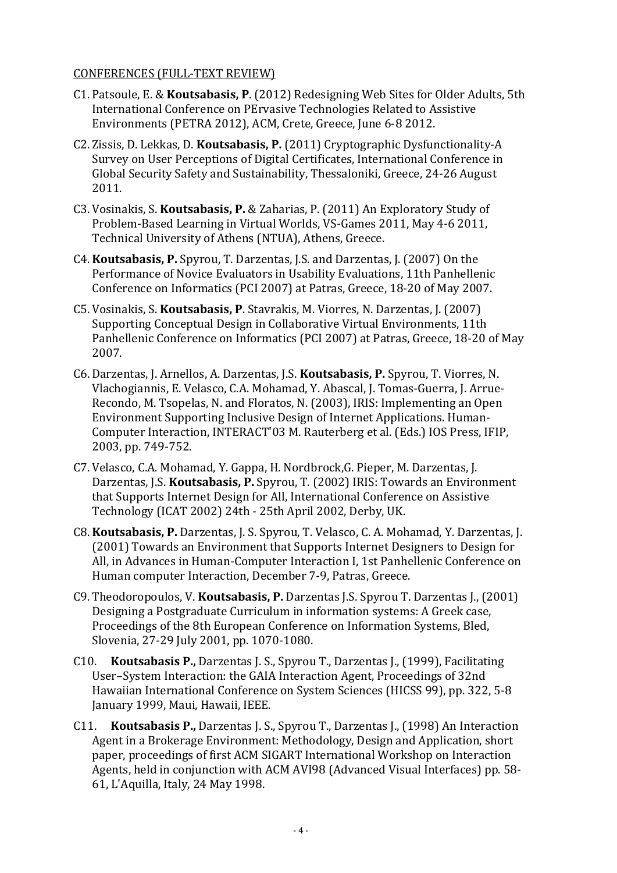#### CONFERENCES (FULL‐TEXT REVIEW)

- C1. Patsoule, E. & **Koutsabasis, P**. (2012) Redesigning Web Sites for Older Adults, 5th International Conference on PErvasive Technologies Related to Assistive Environments (PETRA 2012), ACM, Crete, Greece, June 6‐8 2012.
- C2. Zissis, D. Lekkas, D. **Koutsabasis, P.** (2011) Cryptographic Dysfunctionality‐A Survey on User Perceptions of Digital Certificates, International Conference in Global Security Safety and Sustainability, Thessaloniki, Greece, 24‐26 August 2011.
- C3. Vosinakis, S. **Koutsabasis, P.** & Zaharias, P. (2011) An Exploratory Study of Problem‐Based Learning in Virtual Worlds, VS‐Games 2011, May 4‐6 2011, Technical University of Athens (NTUA), Athens, Greece.
- C4. **Koutsabasis, P.** Spyrou, T. Darzentas, J.S. and Darzentas, J. (2007) On the Performance of Novice Evaluators in Usability Evaluations, 11th Panhellenic . Conference on Informatics (PCI 2007) at Patras, Greece, 18‐20 of May 2007
- C5. Vosinakis, S. **Koutsabasis, P**. Stavrakis, M. Viorres, N. Darzentas, J. (2007) Supporting Conceptual Design in Collaborative Virtual Environments, 11th Panhellenic Conference on Informatics (PCI 2007) at Patras, Greece, 18‐20 of May 2007.
- C6. Darzentas, J. Arnellos, A. Darzentas, J.S. **Koutsabasis, P.** Spyrou, T. Viorres, N. Vlachogiannis, E. Velasco, C.A. Mohamad, Y. Abascal, J. Tomas‐Guerra, J. Arrue‐ Recondo, M. Tsopelas, N. and Floratos, N. (2003), IRIS: Implementing an Open Environment Supporting Inclusive Design of Internet Applications. Human‐ Computer Interaction, INTERACT'03 M. Rauterberg et al. (Eds.) IOS Press, IFIP, 2003, pp. 749‐752.
- C7. Velasco, C.A. Mohamad, Y. Gappa, H. Nordbrock,G. Pieper, M. Darzentas, J. Darzentas, J.S. **Koutsabasis, P.** Spyrou, T. (2002) IRIS: Towards an Environment that Supports Internet Design for All, International Conference on Assistive Technology (ICAT 2002) 24th ‐ 25th April 2002, Derby, UK.
- C8. **Koutsabasis, P.** Darzentas, J. S. Spyrou, T. Velasco, C. A. Mohamad, Y. Darzentas, J. (2001) Towards an Environment that Supports Internet Designers to Design for All, in Advances in Human-Computer Interaction I, 1st Panhellenic Conference on Human computer Interaction, December 7-9, Patras, Greece.
- C9. Theodoropoulos, V. **Koutsabasis, P.** Darzentas J.S. Spyrou T. Darzentas J., (2001) Designing a Postgraduate Curriculum in information systems: A Greek case, Proceedings of the 8th European Conference on Information Systems, Bled, Slovenia, 27‐29 July 2001, pp. 1070‐1080.
- C10. **Koutsabasis P.,** Darzentas J. S., Spyrou T., Darzentas J., (1999), Facilitating User–System Interaction: the GAIA Interaction Agent, Proceedings of 32nd Hawaiian International Conference on System Sciences (HICSS 99), pp. 322, 5‐8 January 1999, Maui, Hawaii, IEEE.
- C11. **Koutsabasis P.,** Darzentas J. S., Spyrou T., Darzentas J., (1998) An Interaction Agent in a Brokerage Environment: Methodology, Design and Application, short paper, proceedings of first ACM SIGART International Workshop on Interaction Agents, held in conjunction with ACM AVI98 (Advanced Visual Interfaces) pp. 58‐ 61, L'Aquilla, Italy, 24 May 1998.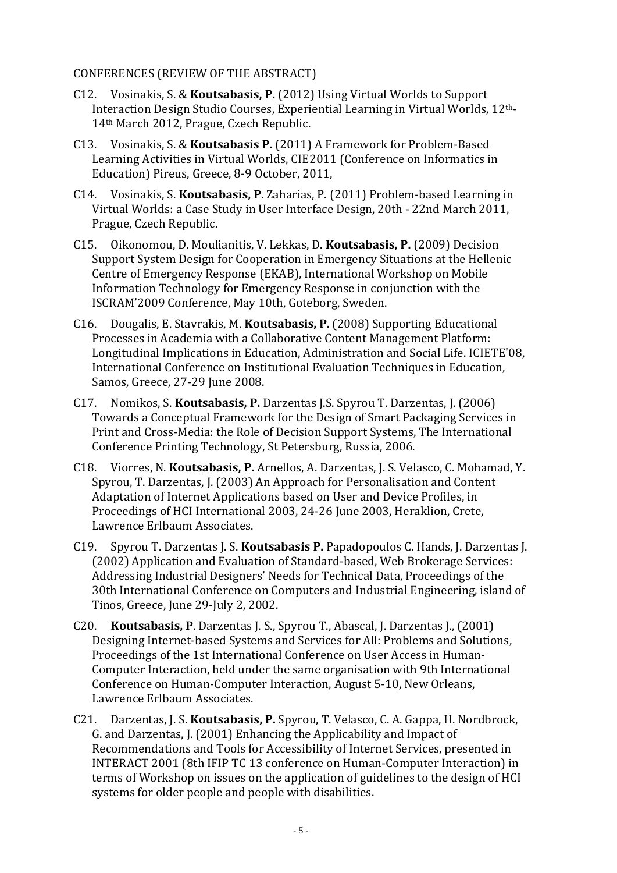#### CONFERENCES (REVIEW OF THE ABSTRACT)

- C12. Vosinakis, S. & **Koutsabasis, P.** (2012) Using Virtual Worlds to Support Interaction Design Studio Courses, Experiential Learning in Virtual Worlds, 12th‐ 14<sup>th</sup> March 2012, Prague, Czech Republic.
- C13. Vosinakis, S. & **Koutsabasis P.** (2011) A Framework for Problem‐Based Learning Activities in Virtual Worlds, CIE2011 (Conference on Informatics in Education) Pireus, Greece, 8-9 October, 2011,
- C14. Vosinakis, S. **Koutsabasis, P**. Zaharias, P. (2011) Problem‐based Learning in Virtual Worlds: a Case Study in User Interface Design, 20th ‐ 22nd March 2011, Prague, Czech Republic.
- C15. Oikonomou, D. Moulianitis, V. Lekkas, D. **Koutsabasis, P.** (2009) Decision Support System Design for Cooperation in Emergency Situations at the Hellenic Centre of Emergency Response (EKAB), International Workshop on Mobile Information Technology for Emergency Response in conjunction with the ISCRAM'2009 Conference, May 10th, Goteborg, Sweden.
- C16. Dougalis, E. Stavrakis, M. **Koutsabasis, P.** (2008) Supporting Educational Processes in Academia with a Collaborative Content Management Platform: Longitudinal Implications in Education, Administration and Social Life. ICIETE'08, International Conference on Institutional Evaluation Techniques in Education, Samos, Greece, 27-29 June 2008.
- C17. Nomikos, S. **Koutsabasis, P.** Darzentas J.S. Spyrou T. Darzentas, J. (2006) Towards a Conceptual Framework for the Design of Smart Packaging Services in Print and Cross‐Media: the Role of Decision Support Systems, The International Conference Printing Technology, St Petersburg, Russia, 2006.
- C18. Viorres, N. **Koutsabasis, P.** Arnellos, A. Darzentas, J. S. Velasco, C. Mohamad, Y. Spyrou, T. Darzentas, J. (2003) An Approach for Personalisation and Content Adaptation of Internet Applications based on User and Device Profiles, in Proceedings of HCI International 2003, 24‐26 June 2003, Heraklion, Crete, Lawrence Erlbaum Associates.
- C19. Spyrou T. Darzentas J. S. **Koutsabasis P.** Papadopoulos C. Hands, J. Darzentas J. (2002) Application and Evaluation of Standard‐based, Web Brokerage Services: Addressing Industrial Designers' Needs for Technical Data, Proceedings of the 30th International Conference on Computers and Industrial Engineering, island of Tinos, Greece, June 29‐July 2, 2002.
- C20. **Koutsabasis, P**. Darzentas J. S., Spyrou T., Abascal, J. Darzentas J., (2001) Designing Internet‐based Systems and Services for All: Problems and Solutions, Proceedings of the 1st International Conference on User Access in Human‐ Computer Interaction, held under the same organisation with 9th International Conference on Human‐Computer Interaction, August 5‐10, New Orleans, Lawrence Erlbaum Associates.
- C21. Darzentas, J. S. **Koutsabasis, P.** Spyrou, T. Velasco, C. A. Gappa, H. Nordbrock, G. and Darzentas, J. (2001) Enhancing the Applicability and Impact of Recommendations and Tools for Accessibility of Internet Services, presented in INTERACT 2001 (8th IFIP TC 13 conference on Human‐Computer Interaction) in terms of Workshop on issues on the application of guidelines to the design of HCI systems for older people and people with disabilities.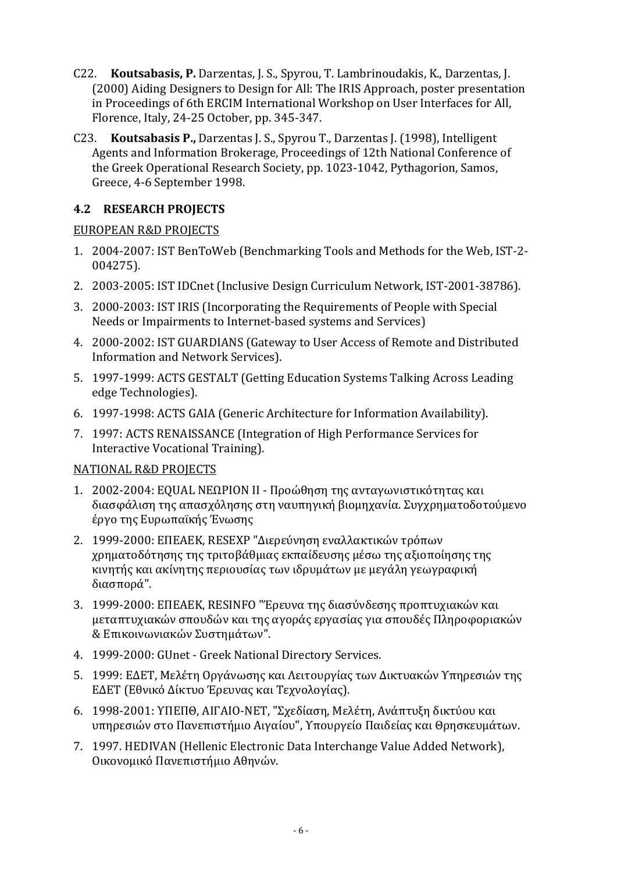- C22. **Koutsabasis, P.** Darzentas, J. S., Spyrou, T. Lambrinoudakis, K., Darzentas, J. (2000) Aiding Designers to Design for All: The IRIS Approach, poster presentation in Proceedings of 6th ERCIM International Workshop on User Interfaces for All, Florence, Italy, 24‐25 October, pp. 345‐347.
- C23. **Koutsabasis P.,** Darzentas J. S., Spyrou T., Darzentas J. (1998), Intelligent Agents and Information Brokerage, Proceedings of 12th National Conference of the Greek Operational Research Society, pp. 1023‐1042, Pythagorion, Samos, Greece, 4‐6 September 1998.

## **4.2 RESEARCH PROJECTS**

#### EUROPEAN R&D PROJECTS

- 1. 2004‐2007: IST BenToWeb (Benchmarking Tools and Methods for the Web, IST‐2‐ 004275).
- 2. 2003‐2005: IST IDCnet (Inclusive Design Curriculum Network, IST‐2001‐38786).
- 3. 2000‐2003: IST IRIS (Incorporating the Requirements of People with Special Needs or Impairments to Internet‐based systems and Services)
- 4. 2000‐2002: IST GUARDIANS (Gateway to User Access of Remote and Distributed Information and Network Services).
- 5. 1997‐1999: ACTS GESTALT (Getting Education Systems Talking Across Leading edge Technologies).
- 6. 1997‐1998: ACTS GAIA (Generic Architecture for Information Availability).
- 7. 1997: ACTS RENAISSANCE (Integration of High Performance Services for Interactive Vocational Training).

#### NATIONAL R&D PROJECTS

- 1. 2002‐2004: EQUAL ΝΕΩΡΙΟΝ ΙΙ ‐ Προώθηση της ανταγωνιστικότητας και διασφάλιση της απασχόλησης στη ναυπηγική βιομηχανία. Συγχρηματοδοτούμενο έργο της Ευρωπαϊκής Ένωσης
- 2. 1999‐2000: ΕΠΕΑΕΚ, RESEXP "Διερεύνηση εναλλακτικών τρόπων χρηματοδότησης της τριτοβάθμιας εκπαίδευσης μέσω της αξιοποίησης της κινητής και ακίνητης περιουσίας των ιδρυμάτων με μεγάλη γεωγραφική διασπορά".
- 3. 1999‐2000: ΕΠΕΑΕΚ, RESINFO "Έρευνα της διασύνδεσης προπτυχιακών και μεταπτυχιακών σπουδών και της αγοράς εργασίας για σπουδές Πληροφοριακών & Επικοινωνιακών Συστημάτων".
- 4. 1999‐2000: GUnet ‐ Greek National Directory Services.
- 5. 1999: ΕΔΕΤ, Μελέτη Οργάνωσης και Λειτουργίας των Δικτυακών Υπηρεσιών της ΕΔΕΤ (Εθνικό Δίκτυο Έρευνας και Τεχνολογίας).
- 6. 1998‐2001: ΥΠΕΠΘ, ΑΙΓΑΙΟ‐ΝΕΤ, "Σχεδίαση, Μελέτη, Ανάπτυξη δικτύου και υπηρεσιών στο Πανεπιστήμιο Αιγαίου", Υπουργείο Παιδείας και Θρησκευμάτων.
- 7. 1997. HEDIVAN (Hellenic Electronic Data Interchange Value Added Network), Οικονομικό Πανεπιστήμιο Αθηνών.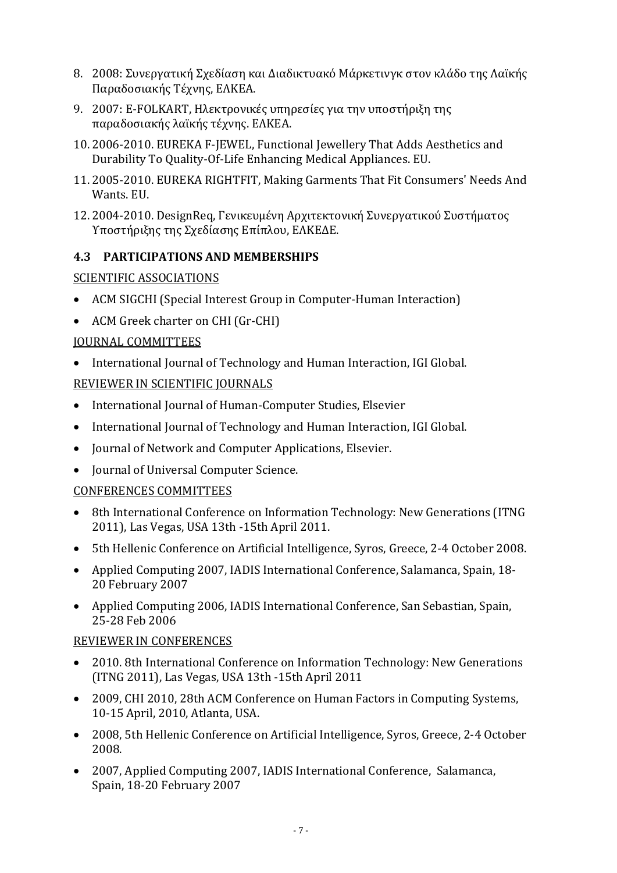- 8. 2008: Συνεργατική Σχεδίαση και Διαδικτυακό Μάρκετινγκ στον κλάδ ο της Λαϊκής Παραδοσιακής Τέχνης, ΕΛΚΕΑ.
- 9. 2007: E‐FOLKART, Ηλεκτρονικές υπηρεσίες για την υποστήριξη της παραδοσιακής λαϊκής τέχνης. ΕΛΚΕΑ.
- 10. 2006‐2010. EUREKA F‐JEWEL, Functional Jewellery That Adds Aesthetics and Durability To Quality‐Of‐Life Enhancing Medical Appliances. EU.
- 11. 2005‐2010. EUREKA RIGHTFIT, Making Garments That Fit Consumers' Needs And Wants. EU.
- 12. 2004‐2010. DesignReq, Γενικευμένη Αρχιτεκτονική Συνεργατικού Συστήματος Υποστήριξης της Σχεδίασης Επίπλου, ΕΛΚΕΔΕ.

## **4.3 PARTICIPATIONS AND MEMBERSHIPS**

#### SCIENTIFIC ASSOCIATIONS

- ACM SIGCHI (Special Interest Group in Computer-Human Interaction)
- ACM Greek charter on CHI (Gr-CHI)

## JOURNAL COMMITTEES

• International Journal of Technology and Human Interaction, IGI Global.

# REVIEWER IN SCIENTIFIC JOURNALS

- International Journal of Human‐Computer Studies, Elsevier
- International Journal of Technology and Human Interaction, IGI Global.
- Journal of Network and Computer Applications, Elsevier.
- Journal of Universal Computer Science.

#### CONFERENCES COMMITTEES

- 8th International Conference on Information Technology: New Generations (ITNG 2011), Las Vegas, USA 13th ‐15th April 2011.
- 5th Hellenic Conference on Artificial Intelligence, Syros, Greece, 2‐4 October 2008.
- Applied Computing 2007, IADIS International Conference, Salamanca, Spain, 18‐ 20 February 2007
- Applied Computing 2006, IADIS International Conference, San Sebastian, Spain, 25‐28 Feb 2006

#### REVIEWER IN CONFERENCES

- 2010. 8th International Conference on Information Technology: New Generations (ITNG 2011), Las Vegas, USA 13th ‐15th April 2011
- 2009, CHI 2010, 28th ACM Conference on Human Factors in Computing Systems, 10‐15 April, 2010, Atlanta, USA.
- 2008, 5th Hellenic Conference on Artificial Intelligence, Syros, Greece, 2‐4 October 2008.
- 2007, Applied Computing 2007, IADIS International Conference, Salamanca, Spain, 18‐20 February 2007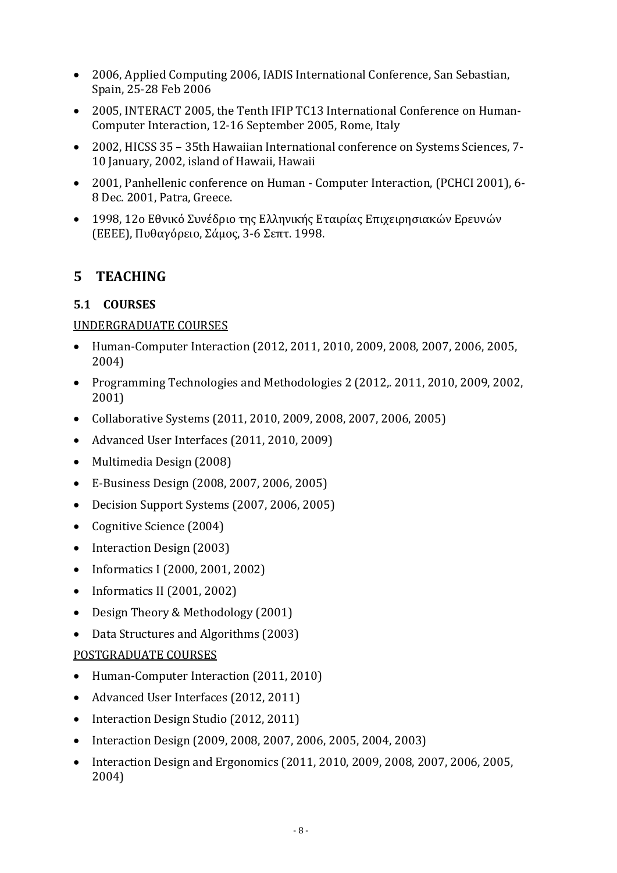- 2006, Applied Computing 2006, IADIS International Conference, San Sebastian, Spain, 25‐28 Feb 2006
- 2005, INTERACT 2005, the Tenth IFIP TC13 International Conference on Human-Computer Interaction, 12‐16 September 2005, Rome, Italy
- 2002, HICSS 35 35th Hawaiian International conference on Systems Sciences, 7-10 January, 2002, island of Hawaii, Hawaii
- 2001, Panhellenic conference on Human Computer Interaction, (PCHCI 2001), 6-8 Dec. 2001, Patra, Greece.
- 1998, 12ο Εθνικό Συνέδριο της Ελληνικής Εταιρίας Επιχειρησιακών Ερευνών (ΕΕΕΕ), Πυθαγόρειο, Σάμος, 3‐6 Σεπτ. 1998.

# **5 TEACHING**

# **5.1 COURSES**

## UNDERGRADUATE COURSES

- Human‐Computer Interaction (2012, 2011, 2010, 2009, 2008, 2007, 2006, 2005, 2004)
- Programming Technologies and Methodologies 2 (2012,. 2011, 2010, 2009, 2002, 2001)
- Collaborative Systems (2011, 2010, 2009, 2008, 2007, 2006, 2005)
- Advanced User Interfaces (2011, 2010, 2009)
- Multimedia Design (2008)
- E‐Business Design (2008, 2007, 2006, 2005)
- Decision Support Systems (2007, 2006, 2005)
- Cognitive Science (2004)
- Interaction Design (2003)
- Informatics Ι (2000, 2001, 2002)
- Informatics ΙΙ (2001, 2002)
- Design Theory & Methodology (2001)
- Data Structures and Algorithms (2003)

#### POSTGRADUATE COURSES

- Human-Computer Interaction (2011, 2010)
- Advanced User Interfaces (2012, 2011)
- Interaction Design Studio (2012, 2011)
- Interaction Design (2009, 2008, 2007, 2006, 2005, 2004, 2003)
- Interaction Design and Ergonomics (2011, 2010, 2009, 2008, 2007, 2006, 2005, 2004)